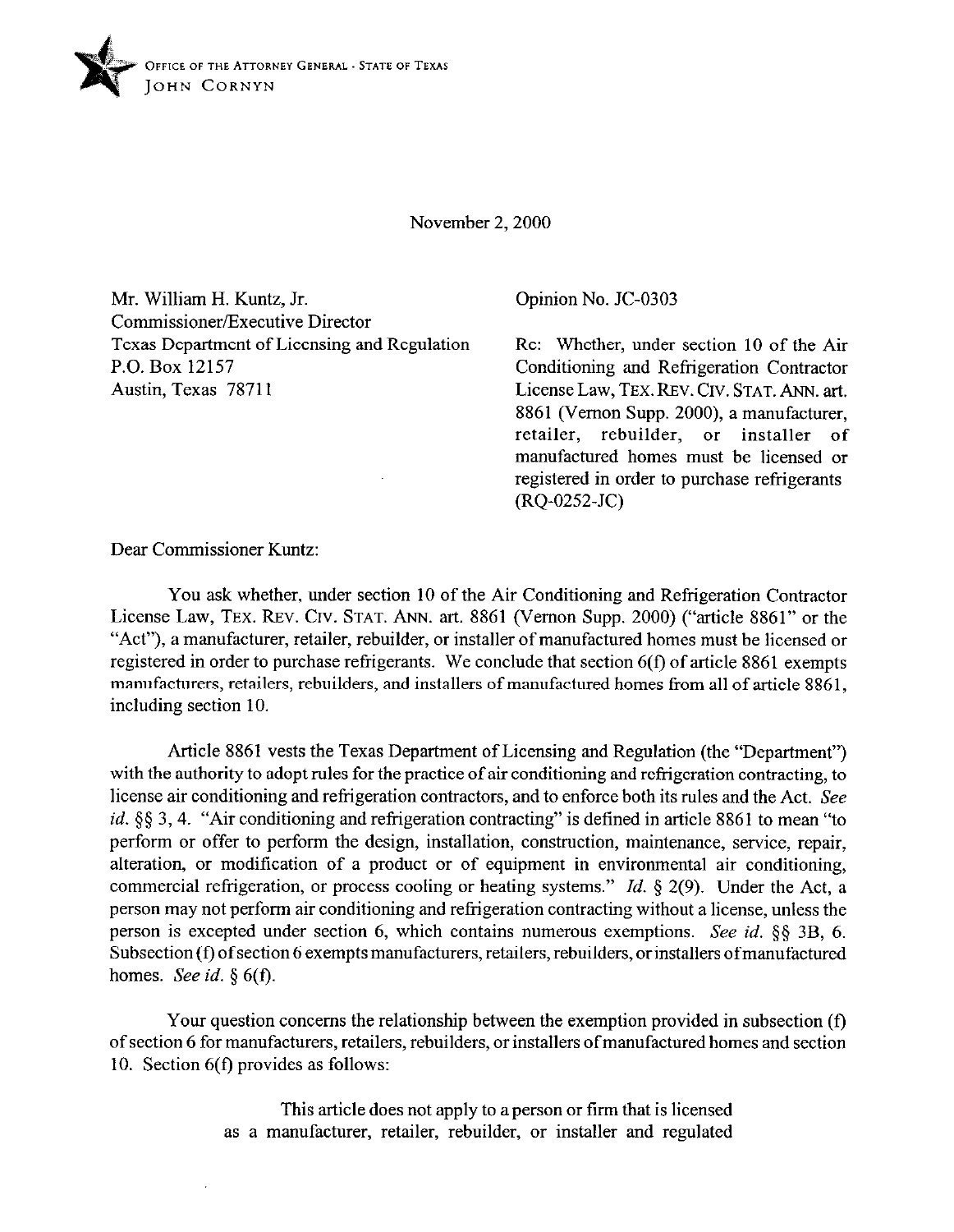

November 2, 2000

Mr. William H. Kuntz, Jr. Commissioner/Executive Director Texas Department of Licensing and Regulation P.O. Box 12157 Austin, Texas 78711

Opinion No. JC-0303

Re: Whether, under section 10 of the Air Conditioning and Refrigeration Contractor License Law, TEX. REV. CIV. STAT. ANN. art. 8861 (Vernon Supp. 2000), a manufacturer, retailer, rebuilder, or installer of manufactured homes must be licensed or registered in order to purchase refrigerants  $(RQ-0252-JC)$ 

Dear Commissioner Kuntz:

You ask whether, under section 10 of the Air Conditioning and Refrigeration Contractor License Law, **TEX. REV. CIV. STAT.** ANN. art. 8861 (Vernon Supp. 2000) ("article 8861" or the "Act"), a manufacturer, retailer, rebuilder, or installer of manufactured homes must be licensed or registered in order to purchase refrigerants. We conclude that section 6(f) of article 8861 exempts manufacturers, retailers, rebuilders, and installers of manufactured homes from all of article 8861, including section 10.

Article 8861 vests the Texas Department of Licensing and Regulation (the "Department") with the authority to adopt rules for the practice of air conditioning and refrigeration contracting, to license air conditioning and refrigeration contractors, and to enforce both its rules and the Act. See *id.* §§ 3,4. "Air conditioning and refrigeration contracting" is defined in article 8861 to mean "to perform or offer to perform the design, installation, construction, maintenance, service, repair, alteration, or modification of a product or of equipment in environmental air conditioning, commercial refrigeration, or process cooling or heating systems." *Id.* 5 2(9). Under the Act, a person may not perform air conditioning and refrigeration contracting without a license, unless the person is excepted under section 6, which contains numerous exemptions. See *id. §tj* **3B, 6.**  Subsection (f) of section 6 exempts manufacturers, retailers, rebuilders, or installers of manufactured homes. See *id. 5 6(f).* 

Your question concerns the relationship between the exemption provided in subsection (f) of section 6 for manufacturers, retailers, rebuilders, or installers ofmanufactured homes and section 10. Section 6(f) provides as follows:

> This article does not apply to a person or firm that is licensed as a manufacturer, retailer, rebuilder, or installer and regulated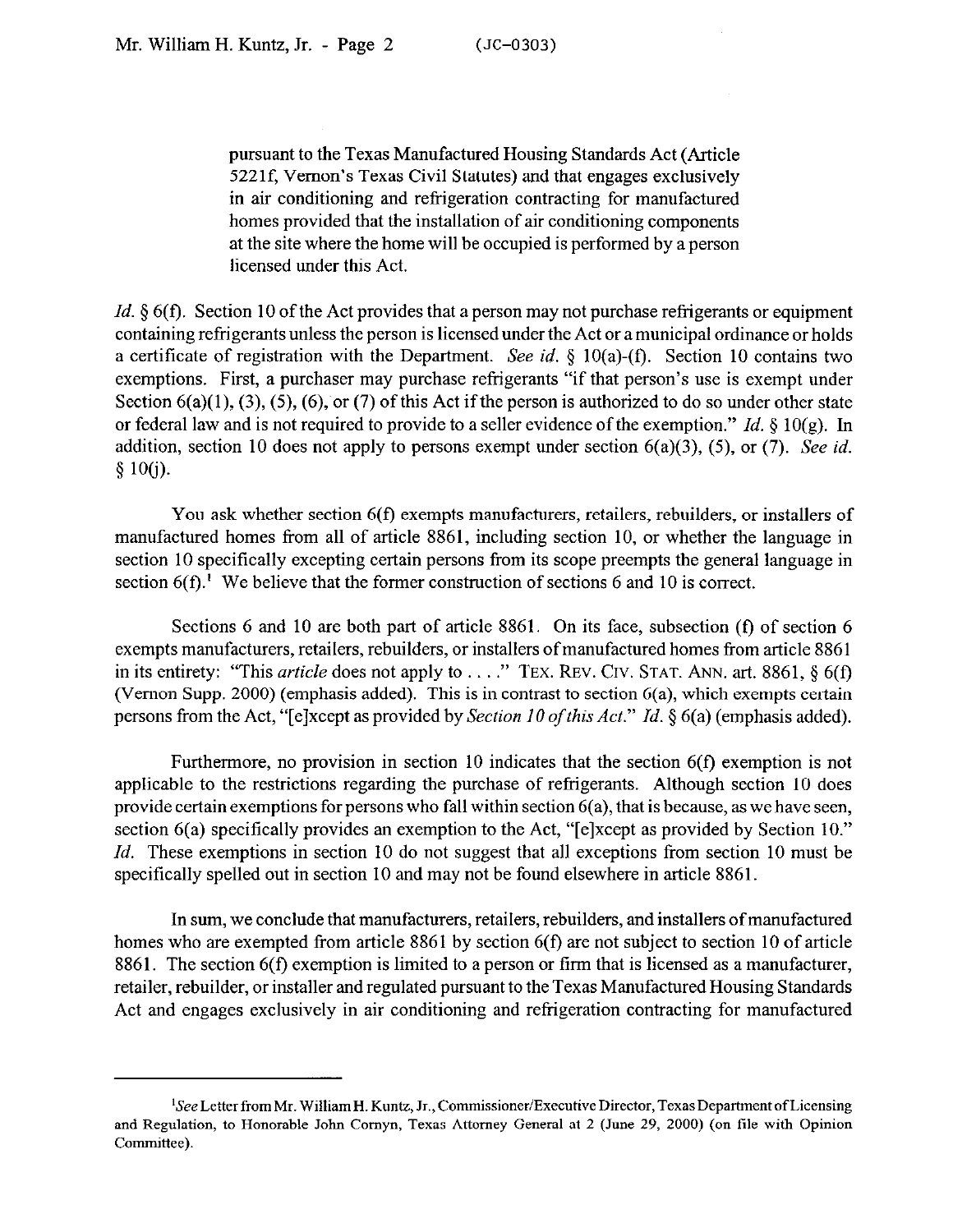pursuant to the Texas Manufactured Housing Standards Act (Article 5221f, Vernon's Texas Civil Statutes) and that engages exclusively in air conditioning and refrigeration contracting for manufactured homes provided that the installation of air conditioning components at the site where the home will be occupied is performed by a person licensed under this Act.

*Id.* § 6(f). Section 10 of the Act provides that a person may not purchase refrigerants or equipment containing refrigerants unless the person is licensed under the Act or a municipal ordinance or holds a certificate of registration with the Department. See id. § 10(a)-(f). Section 10 contains two exemptions. First, a purchaser may purchase refrigerants "if that person's use is exempt under Section  $6(a)(1)$ ,  $(3)$ ,  $(5)$ ,  $(6)$ , or  $(7)$  of this Act if the person is authorized to do so under other state or federal law and is not required to provide to a seller evidence of the exemption." *Id. 5* 10(g). In addition, section 10 does not apply to persons exempt under section 6(a)(3), (5), or (7). See *id. § 10(i).* 

You ask whether section 6(f) exempts manufacturers, retailers, rebuilders, or installers of manufactured homes from all of article 8861, including section 10, or whether the language in section 10 specifically excepting certain persons from its scope preempts the general language in section  $6(f)$ .<sup>1</sup> We believe that the former construction of sections 6 and 10 is correct.

Sections 6 and 10 are both part of article 8861. On its face, subsection (f) of section 6 exempts manufacturers, retailers, rebuilders, or installers of manufactured homes from article 8861 in its entirety: "This *article* does not apply to . . . ." TEX. REV. CIV. STAT. ANN. art. 8861, § 6(f) (Vernon Supp. 2000) (emphasis added). This is in contrast to section 6(a), which exempts certain persons from the Act, "[elxcept as provided by *Section 10 of this Act." Id.* 5 6(a) (emphasis added).

Furthermore, no provision in section 10 indicates that the section 6(f) exemption is not applicable to the restrictions regarding the purchase of refrigerants. Although section 10 does provide certain exemptions for persons who fall within section 6(a), that is because, as we have seen, section 6(a) specifically provides an exemption to the Act, "[e]xcept as provided by Section 10." *Id.* These exemptions in section 10 do not suggest that all exceptions from section 10 must be specifically spelled out in section 10 and may not be found elsewhere in article 8861.

In sum, we conclude that manufacturers, retailers, rebuilders, and installers of manufactured homes who are exempted from article 8861 by section 6(f) are not subject to section 10 of article 8861. The section 6(f) exemption is limited to a person or firm that is licensed as a manufacturer, retailer, rebuilder, or installer and regulated pursuant to the Texas Manufactured Housing Standards Act and engages exclusively in air conditioning and refrigeration contracting for manufactured

<sup>&</sup>lt;sup>1</sup>See Letter from Mr. William H. Kuntz, Jr., Commissioner/Executive Director, Texas Department of Licensing and Regulation, to Honorable John Comyn, Texas Attorney General at 2 (June 29, 2000) (on tile with Opinion Committee).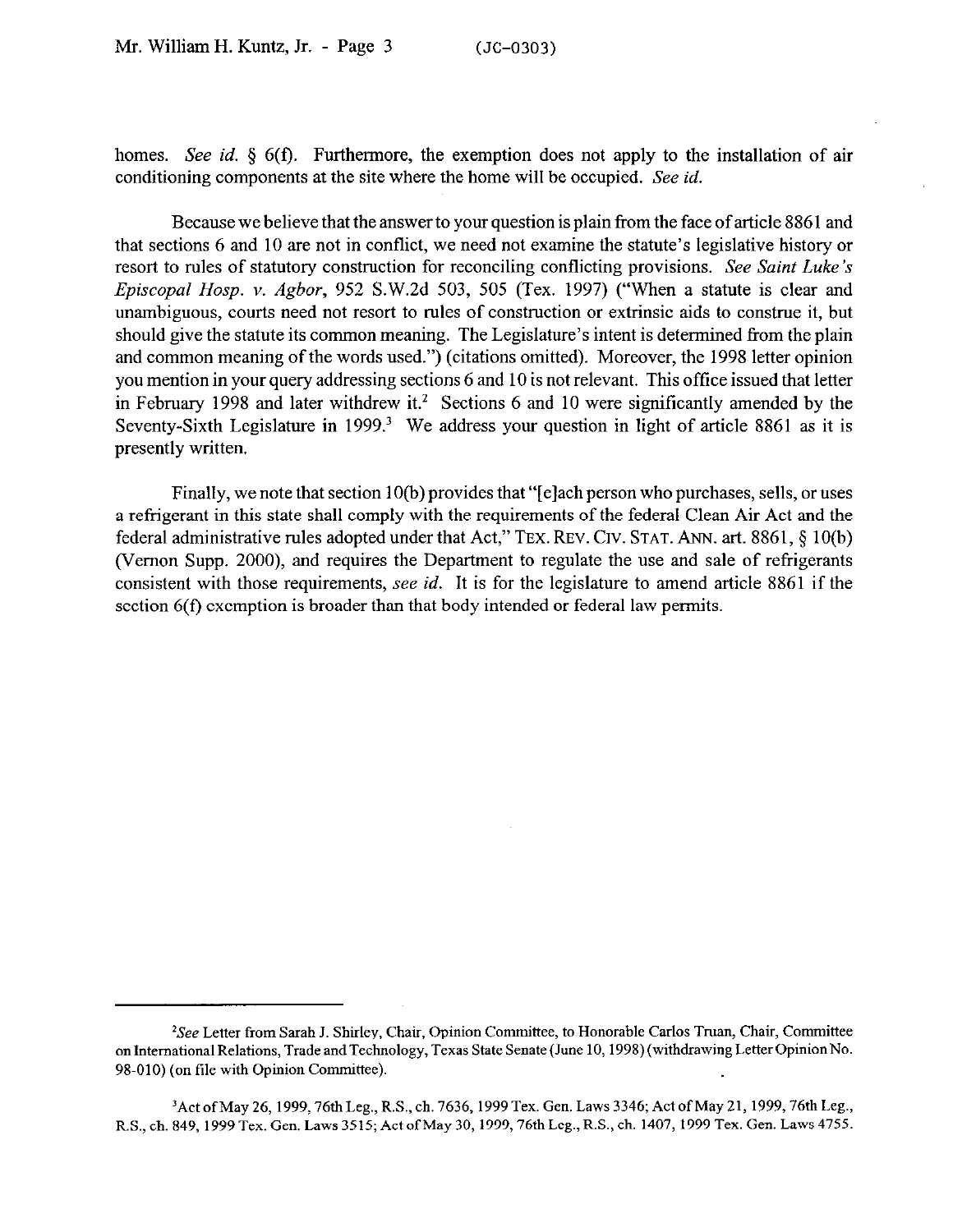homes. See *id.* § 6(f). Furthermore, the exemption does not apply to the installation of air conditioning components at the site where the home will be occupied. See *id.* 

Because we believe that the answer to your question is plain from the face of article 8861 and that sections 6 and 10 are not in conflict, we need not examine the statute's legislative history or resort to rules of statutory construction for reconciling conflicting provisions. See *Saint Luke's Episcopal Hosp.* v. *Agbor,* 952 S.W.2d 503, 505 (Tex. 1997) ("When a statute is clear and unambiguous, courts need not resort to rules of construction or extrinsic aids to construe it, but should give the statute its common meaning. The Legislature's intent is determined from the plain and common meaning of the words used.") (citations omitted). Moreover, the 1998 letter opinion you mention in your query addressing sections 6 and 10 is not relevant. This office issued that letter in February 1998 and later withdrew it.<sup>2</sup> Sections 6 and 10 were significantly amended by the Seventy-Sixth Legislature in 1999.<sup>3</sup> We address your question in light of article 8861 as it is presently written.

Finally, we note that section 10(b) provides that "[e]ach person who purchases, sells, or uses a refrigerant in this state shall comply with the requirements of the federal Clean Air Act and the federal administrative rules adopted under that Act," TEX. REV. CIV. STAT. ANN. art. 8861, § 10(b) (Vernon Supp. 2000), and requires the Department to regulate the use and sale of refrigerants consistent with those requirements, see *id.* It is for the legislature to amend article 8861 if the section 6(f) exemption is broader than that body intended or federal law permits.

<sup>&</sup>lt;sup>2</sup>See Letter from Sarah J. Shirley, Chair, Opinion Committee, to Honorable Carlos Truan, Chair, Committee on International Relations, Trade and Technology, Texas State Senate (June 10,199s) (withdrawing Letter Opinion No. 98.010) (on tile with Opinion Committee).

<sup>&</sup>lt;sup>3</sup> Act of May 26, 1999, 76th Leg., R.S., ch. 7636, 1999 Tex. Gen. Laws 3346; Act of May 21, 1999, 76th Leg., R.S., ch. 849, 1999 Tex. Gen. Laws 3515; Act ofMay 30, 1999,76th Leg., R.S., ch. 1407, 1999 Tex. Gen. Laws 4755.